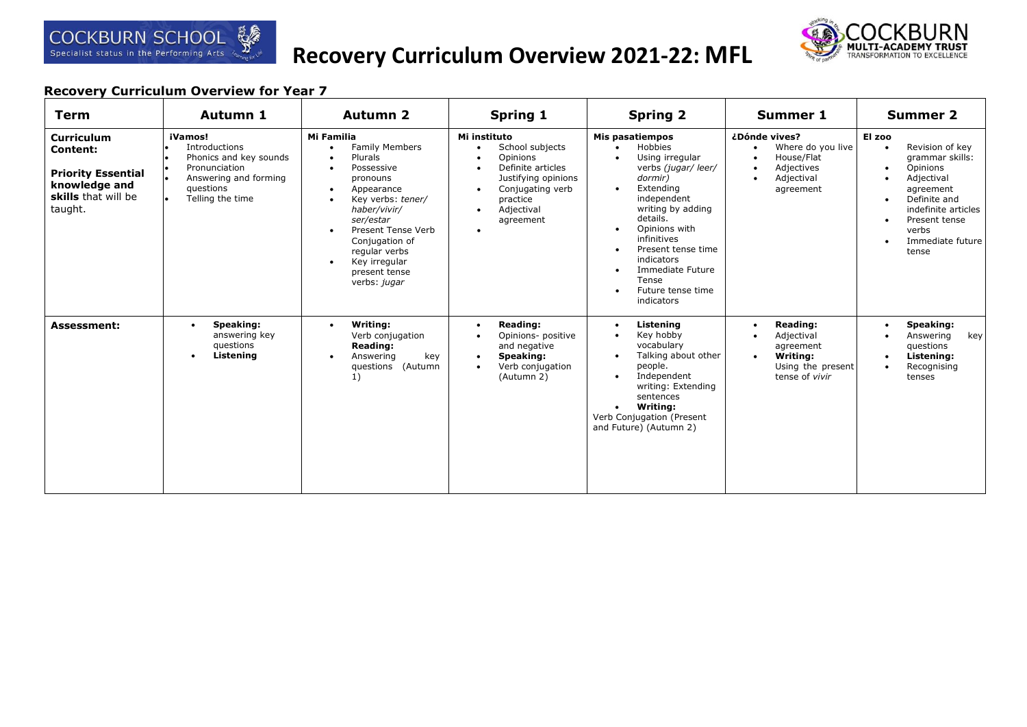# **Recovery Curriculum Overview 2021-22: MFL**



| <b>Term</b>                                                                                                          | Autumn 1                                                                                                                      | <b>Autumn 2</b>                                                                                                                                                                                                                                     | Spring 1                                                                                                                                                                                                                         | <b>Spring 2</b>                                                                                                                                                                                                                                                                                                                                                                    | Summer 1                                                                                                                              | <b>Summer 2</b>                                                                                                                                                                             |
|----------------------------------------------------------------------------------------------------------------------|-------------------------------------------------------------------------------------------------------------------------------|-----------------------------------------------------------------------------------------------------------------------------------------------------------------------------------------------------------------------------------------------------|----------------------------------------------------------------------------------------------------------------------------------------------------------------------------------------------------------------------------------|------------------------------------------------------------------------------------------------------------------------------------------------------------------------------------------------------------------------------------------------------------------------------------------------------------------------------------------------------------------------------------|---------------------------------------------------------------------------------------------------------------------------------------|---------------------------------------------------------------------------------------------------------------------------------------------------------------------------------------------|
| <b>Curriculum</b><br><b>Content:</b><br><b>Priority Essential</b><br>knowledge and<br>skills that will be<br>taught. | iVamos!<br>Introductions<br>Phonics and key sounds<br>Pronunciation<br>Answering and forming<br>questions<br>Telling the time | Mi Familia<br><b>Family Members</b><br>Plurals<br>Possessive<br>pronouns<br>Appearance<br>Key verbs: tener/<br>haber/vivir/<br>ser/estar<br>Present Tense Verb<br>Conjugation of<br>regular verbs<br>Key irregular<br>present tense<br>verbs: jugar | Mi instituto<br>School subjects<br>$\bullet$<br>Opinions<br>$\bullet$<br>Definite articles<br>$\bullet$<br>Justifying opinions<br>Conjugating verb<br>$\bullet$<br>practice<br>Adjectival<br>$\bullet$<br>agreement<br>$\bullet$ | <b>Mis pasatiempos</b><br>Hobbies<br>$\bullet$<br>Using irregular<br>$\bullet$<br>verbs (jugar/ leer/<br>dormir)<br>Extending<br>$\bullet$<br>independent<br>writing by adding<br>details.<br>Opinions with<br>$\bullet$<br>infinitives<br>Present tense time<br>$\bullet$<br>indicators<br>Immediate Future<br>$\bullet$<br>Tense<br>Future tense time<br>$\bullet$<br>indicators | ¿Dónde vives?<br>Where do you live<br>$\bullet$<br>House/Flat<br>٠<br>Adjectives<br>$\bullet$<br>Adjectival<br>$\bullet$<br>agreement | El zoo<br>Revision of key<br>grammar skills:<br>Opinions<br>Adjectival<br>agreement<br>Definite and<br>٠<br>indefinite articles<br>Present tense<br>٠<br>verbs<br>Immediate future<br>tense |
| <b>Assessment:</b>                                                                                                   | Speaking:<br>answering key<br>questions<br>Listening<br>$\bullet$                                                             | Writing:<br>Verb conjugation<br><b>Reading:</b><br>Answering<br>key<br>(Autumn<br>questions<br>1)                                                                                                                                                   | <b>Reading:</b><br>$\bullet$<br>Opinions- positive<br>$\bullet$<br>and negative<br>Speaking:<br>$\bullet$<br>Verb conjugation<br>$\bullet$<br>(Autumn 2)                                                                         | Listening<br>$\bullet$<br>Key hobby<br>$\bullet$<br>vocabulary<br>Talking about other<br>$\bullet$<br>people.<br>Independent<br>$\bullet$<br>writing: Extending<br>sentences<br>Writing:<br>$\bullet$<br>Verb Conjugation (Present<br>and Future) (Autumn 2)                                                                                                                       | <b>Reading:</b><br>$\bullet$<br>Adjectival<br>$\bullet$<br>agreement<br>Writing:<br>$\bullet$<br>Using the present<br>tense of vivir  | Speaking:<br>Answering<br>key<br>questions<br>Listening:<br>Recognising<br>tenses                                                                                                           |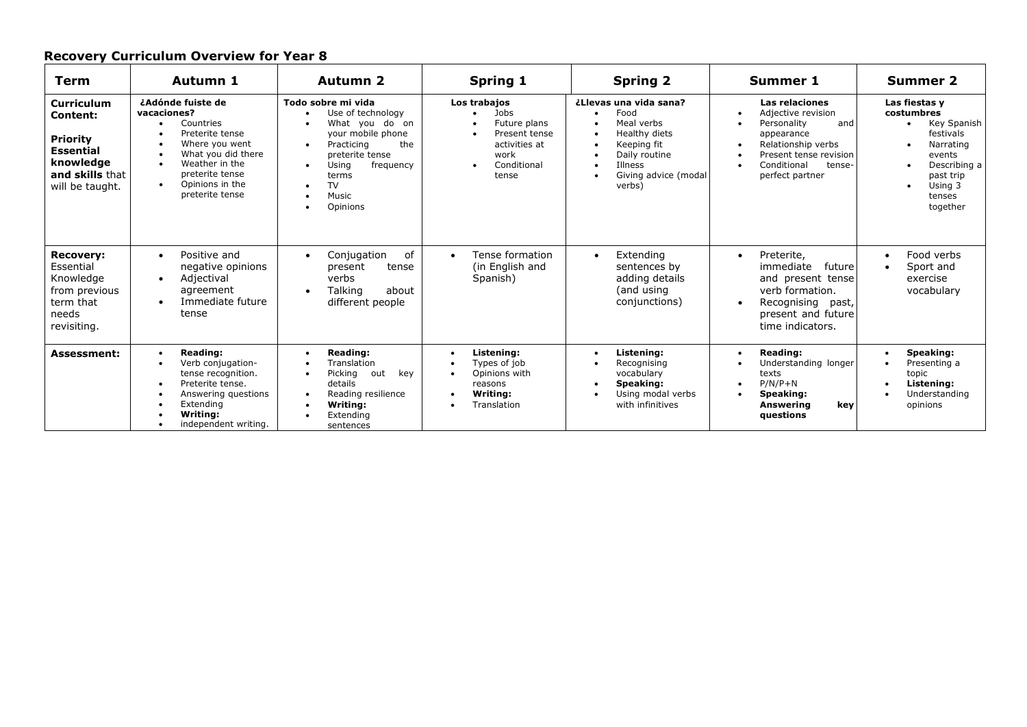| Term                                                                                                                    | Autumn 1                                                                                                                                                                                                      | <b>Autumn 2</b>                                                                                                                                                                                    | <b>Spring 1</b>                                                                                                                            | <b>Spring 2</b>                                                                                                                            | <b>Summer 1</b>                                                                                                                                                       | <b>Summer 2</b>                                                                                                                              |
|-------------------------------------------------------------------------------------------------------------------------|---------------------------------------------------------------------------------------------------------------------------------------------------------------------------------------------------------------|----------------------------------------------------------------------------------------------------------------------------------------------------------------------------------------------------|--------------------------------------------------------------------------------------------------------------------------------------------|--------------------------------------------------------------------------------------------------------------------------------------------|-----------------------------------------------------------------------------------------------------------------------------------------------------------------------|----------------------------------------------------------------------------------------------------------------------------------------------|
| <b>Curriculum</b><br>Content:<br><b>Priority</b><br><b>Essential</b><br>knowledge<br>and skills that<br>will be taught. | ¿Adónde fuiste de<br>vacaciones?<br>Countries<br>$\bullet$<br>Preterite tense<br>Where you went<br>What you did there<br>Weather in the<br>preterite tense<br>Opinions in the<br>$\bullet$<br>preterite tense | Todo sobre mi vida<br>Use of technology<br>What you do on<br>your mobile phone<br>the<br>Practicing<br>$\bullet$<br>preterite tense<br>Using<br>frequency<br>terms<br>TV<br>٠<br>Music<br>Opinions | Los trabajos<br>Jobs<br>Future plans<br>Present tense<br>activities at<br>work<br>Conditional<br>tense                                     | ¿Llevas una vida sana?<br>Food<br>Meal verbs<br>Healthy diets<br>Keeping fit<br>Daily routine<br>Illness<br>Giving advice (modal<br>verbs) | Las relaciones<br>Adjective revision<br>Personality<br>and<br>appearance<br>Relationship verbs<br>Present tense revision<br>Conditional<br>tense-<br>perfect partner  | Las fiestas y<br>costumbres<br>Key Spanish<br>festivals<br>Narrating<br>events<br>Describing a<br>past trip<br>Using 3<br>tenses<br>together |
| <b>Recovery:</b><br>Essential<br>Knowledge<br>from previous<br>term that<br>needs<br>revisiting.                        | Positive and<br>$\bullet$<br>negative opinions<br>Adjectival<br>$\bullet$<br>agreement<br>Immediate future<br>tense                                                                                           | of<br>Conjugation<br>$\bullet$<br>present<br>tense<br>verbs<br>Talking<br>about<br>different people                                                                                                | Tense formation<br>$\bullet$<br>(in English and<br>Spanish)                                                                                | Extending<br>$\bullet$<br>sentences by<br>adding details<br>(and using<br>conjunctions)                                                    | Preterite,<br>$\bullet$<br>future<br>immediate<br>and present tense<br>verb formation.<br>Recognising<br>past,<br>$\bullet$<br>present and future<br>time indicators. | Food verbs<br>$\bullet$<br>Sport and<br>exercise<br>vocabulary                                                                               |
| Assessment:                                                                                                             | Reading:<br>$\bullet$<br>Verb conjugation-<br>tense recognition.<br>Preterite tense.<br>Answering questions<br>Extending<br>Writing:<br>independent writing.                                                  | Reading:<br>$\bullet$<br>Translation<br>Picking<br>out<br>key<br>details<br>Reading resilience<br>$\bullet$<br>Writina:<br>Extending<br>sentences                                                  | Listening:<br>$\bullet$<br>Types of iob<br>$\bullet$<br>Opinions with<br>$\bullet$<br>reasons<br>Writina:<br>$\bullet$<br>Translation<br>٠ | Listening:<br>Recognising<br>vocabulary<br>Speaking:<br>Using modal verbs<br>with infinitives                                              | Reading:<br>$\bullet$<br>Understanding longer<br>texts<br>$P/N/P+N$<br>$\bullet$<br>Speaking:<br>Answering<br>key<br>questions                                        | Speaking:<br>$\bullet$<br>Presenting a<br>topic<br>Listening:<br>Understanding<br>opinions                                                   |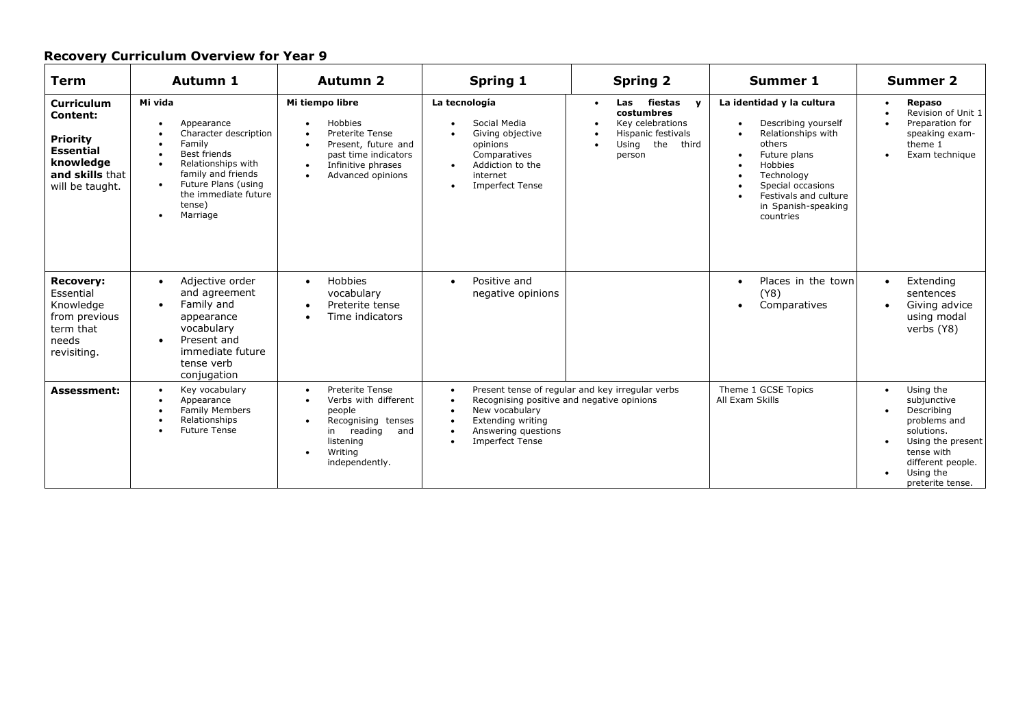| <b>Term</b>                                                                                                                    | Autumn 1                                                                                                                                                                                                                                      | <b>Autumn 2</b>                                                                                                                                                  | <b>Spring 1</b>                                                                                                                                                                                                  | <b>Spring 2</b>                                                                                                                       | <b>Summer 1</b>                                                                                                                                                                                                                       | <b>Summer 2</b>                                                                                                                                                            |
|--------------------------------------------------------------------------------------------------------------------------------|-----------------------------------------------------------------------------------------------------------------------------------------------------------------------------------------------------------------------------------------------|------------------------------------------------------------------------------------------------------------------------------------------------------------------|------------------------------------------------------------------------------------------------------------------------------------------------------------------------------------------------------------------|---------------------------------------------------------------------------------------------------------------------------------------|---------------------------------------------------------------------------------------------------------------------------------------------------------------------------------------------------------------------------------------|----------------------------------------------------------------------------------------------------------------------------------------------------------------------------|
| <b>Curriculum</b><br><b>Content:</b><br><b>Priority</b><br><b>Essential</b><br>knowledge<br>and skills that<br>will be taught. | Mi vida<br>Appearance<br>$\bullet$<br>Character description<br>Family<br>Best friends<br>Relationships with<br>$\bullet$<br>family and friends<br>Future Plans (using<br>$\bullet$<br>the immediate future<br>tense)<br>Marriage<br>$\bullet$ | Mi tiempo libre<br><b>Hobbies</b><br>٠<br>Preterite Tense<br>Present, future and<br>past time indicators<br>Infinitive phrases<br>$\bullet$<br>Advanced opinions | La tecnología<br>Social Media<br>٠<br>Giving objective<br>opinions<br>Comparatives<br>Addiction to the<br>$\bullet$<br>internet<br><b>Imperfect Tense</b><br>$\bullet$                                           | fiestas<br>Las<br>$\mathbf v$<br>$\bullet$<br>costumbres<br>Key celebrations<br>Hispanic festivals<br>the<br>third<br>Using<br>person | La identidad y la cultura<br>Describing yourself<br>$\bullet$<br>Relationships with<br>others<br>Future plans<br>$\bullet$<br>Hobbies<br>Technology<br>Special occasions<br>Festivals and culture<br>in Spanish-speaking<br>countries | <b>Repaso</b><br>$\bullet$<br>Revision of Unit 1<br>Preparation for<br>speaking exam-<br>theme 1<br>Exam technique<br>$\bullet$                                            |
| <b>Recovery:</b><br>Essential<br>Knowledge<br>from previous<br>term that<br>needs<br>revisiting.                               | Adjective order<br>$\bullet$<br>and agreement<br>Family and<br>$\bullet$<br>appearance<br>vocabularv<br>Present and<br>$\bullet$<br>immediate future<br>tense verb<br>conjugation                                                             | Hobbies<br>$\bullet$<br>vocabulary<br>Preterite tense<br>$\bullet$<br>Time indicators                                                                            | Positive and<br>$\bullet$<br>negative opinions                                                                                                                                                                   |                                                                                                                                       | Places in the town<br>$\bullet$<br>(Y8)<br>Comparatives<br>$\bullet$                                                                                                                                                                  | Extending<br>$\bullet$<br>sentences<br>Giving advice<br>using modal<br>verbs (Y8)                                                                                          |
| <b>Assessment:</b>                                                                                                             | Key vocabulary<br>$\bullet$<br>Appearance<br><b>Family Members</b><br>Relationships<br><b>Future Tense</b><br>$\bullet$                                                                                                                       | Preterite Tense<br>$\bullet$<br>Verbs with different<br>people<br>Recognising tenses<br>reading<br>in<br>and<br>listening<br>Writing<br>independently.           | $\bullet$<br>Recognising positive and negative opinions<br>$\bullet$<br>New vocabulary<br>$\bullet$<br>Extending writing<br>$\bullet$<br>Answering questions<br>$\bullet$<br><b>Imperfect Tense</b><br>$\bullet$ | Present tense of regular and key irregular verbs                                                                                      | Theme 1 GCSE Topics<br>All Exam Skills                                                                                                                                                                                                | Using the<br>$\bullet$<br>subjunctive<br>Describing<br>problems and<br>solutions.<br>Using the present<br>tense with<br>different people.<br>Using the<br>preterite tense. |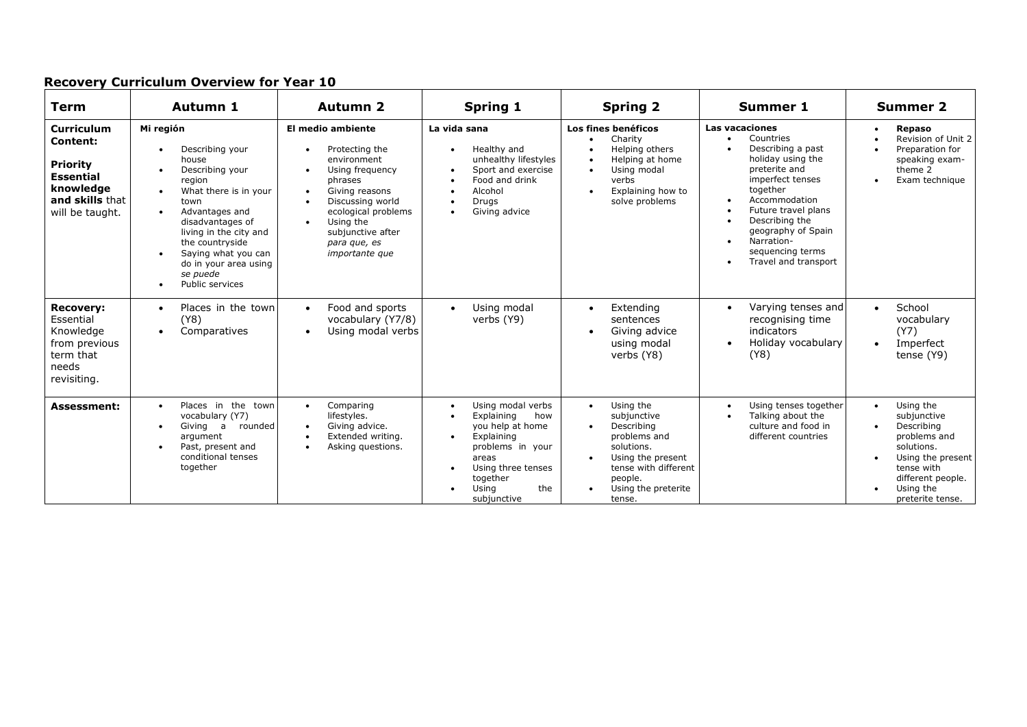| <b>Term</b>                                                                                                                    | Autumn 1                                                                                                                                                                                                                                                                                        | <b>Autumn 2</b>                                                                                                                                                                                                                                    | <b>Spring 1</b>                                                                                                                                                        | <b>Spring 2</b>                                                                                                                                                                         | <b>Summer 1</b>                                                                                                                                                                                                                                                                      | <b>Summer 2</b>                                                                                                                                                            |
|--------------------------------------------------------------------------------------------------------------------------------|-------------------------------------------------------------------------------------------------------------------------------------------------------------------------------------------------------------------------------------------------------------------------------------------------|----------------------------------------------------------------------------------------------------------------------------------------------------------------------------------------------------------------------------------------------------|------------------------------------------------------------------------------------------------------------------------------------------------------------------------|-----------------------------------------------------------------------------------------------------------------------------------------------------------------------------------------|--------------------------------------------------------------------------------------------------------------------------------------------------------------------------------------------------------------------------------------------------------------------------------------|----------------------------------------------------------------------------------------------------------------------------------------------------------------------------|
| <b>Curriculum</b><br><b>Content:</b><br><b>Priority</b><br><b>Essential</b><br>knowledge<br>and skills that<br>will be taught. | Mi región<br>Describing your<br>$\bullet$<br>house<br>Describing your<br>region<br>What there is in your<br>town<br>Advantages and<br>$\bullet$<br>disadvantages of<br>living in the city and<br>the countryside<br>Saying what you can<br>do in your area using<br>se puede<br>Public services | El medio ambiente<br>Protecting the<br>environment<br>Using frequency<br>phrases<br>Giving reasons<br>$\bullet$<br>Discussing world<br>ecological problems<br>Using the<br>$\bullet$<br>subjunctive after<br>para que, es<br><i>importante que</i> | La vida sana<br>Healthy and<br>unhealthy lifestyles<br>Sport and exercise<br>Food and drink<br>Alcohol<br>Drugs<br>Giving advice                                       | Los fines benéficos<br>Charity<br>Helping others<br>Helping at home<br>Using modal<br>verbs<br>Explaining how to<br>$\bullet$<br>solve problems                                         | <b>Las vacaciones</b><br>Countries<br>Describing a past<br>holiday using the<br>preterite and<br>imperfect tenses<br>together<br>Accommodation<br>Future travel plans<br>Describing the<br>geography of Spain<br>Narration-<br>$\bullet$<br>sequencing terms<br>Travel and transport | <b>Repaso</b><br>Revision of Unit 2<br>Preparation for<br>speaking exam-<br>theme 2<br>Exam technique                                                                      |
| <b>Recovery:</b><br>Essential<br>Knowledge<br>from previous<br>term that<br>needs<br>revisiting.                               | Places in the town<br>$\bullet$<br>(Y8)<br>Comparatives<br>$\bullet$                                                                                                                                                                                                                            | Food and sports<br>$\bullet$<br>vocabulary (Y7/8)<br>Using modal verbs                                                                                                                                                                             | Using modal<br>$\bullet$<br>verbs (Y9)                                                                                                                                 | Extending<br>$\bullet$<br>sentences<br>Giving advice<br>using modal<br>verbs (Y8)                                                                                                       | Varying tenses and<br>$\bullet$<br>recognising time<br>indicators<br>Holiday vocabulary<br>(Y8)                                                                                                                                                                                      | School<br>$\bullet$<br>vocabulary<br>(Y7)<br>Imperfect<br>$\bullet$<br>tense (Y9)                                                                                          |
| <b>Assessment:</b>                                                                                                             | Places in the town<br>$\bullet$<br>vocabulary (Y7)<br>Giving a<br>rounded<br>$\bullet$<br>argument<br>Past, present and<br>$\bullet$<br>conditional tenses<br>together                                                                                                                          | Comparing<br>$\bullet$<br>lifestyles.<br>Giving advice.<br>$\bullet$<br>Extended writing.<br>Asking questions.                                                                                                                                     | Using modal verbs<br>Explaining<br>how<br>you help at home<br>Explaining<br>problems in your<br>areas<br>Using three tenses<br>together<br>Usina<br>the<br>subjunctive | Using the<br>$\bullet$<br>subjunctive<br>Describing<br>problems and<br>solutions.<br>Using the present<br>$\bullet$<br>tense with different<br>people.<br>Using the preterite<br>tense. | Using tenses together<br>$\bullet$<br>Talking about the<br>culture and food in<br>different countries                                                                                                                                                                                | Using the<br>$\bullet$<br>subjunctive<br>Describing<br>problems and<br>solutions.<br>Using the present<br>tense with<br>different people.<br>Using the<br>preterite tense. |